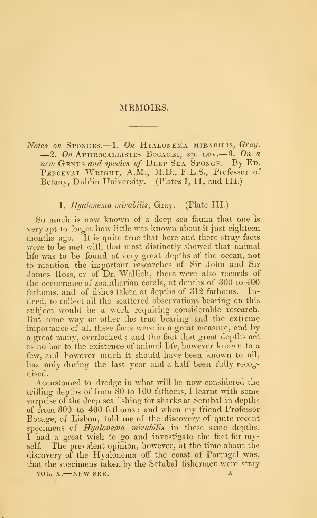### MEMOIRS.

Notes on Sponges.—1. On Hyalonema mirabilis, Gray.<br>-2. On Aphrocallistes Bocagei, sp. nov.—3. On a new Genus and species of Deep Sea Sponge. By Ed. PERCEVAL WRIGHT, A.M., M.D., F.L.S., Professor of Botany, Dublin University. (Plates I, II, and III.)

## 1. Hyalonema mirabilis, Gray. (Plate III.)

So much is now known of a deep sea fauna that one is very apt to forget how little was known about it just eighteen months ago. It is quite true that here and there stray facts were to be met with that most distinctly showed that animal life was to be found at very great depths of the ocean, not to mention the important researches of Sir John and Sir James Koss, or of Dr. Wallich, there were also records of the occurrence of zoantharian corals, at depths of 300 to 400 fathoms, and of fishes taken at depths of 312 fathoms. In deed, to collect all the scattered observations bearing on this subject would be a work requiring considerable research. But some way or other the true bearing and the extreme importance of all these facts were in a great measure, and by a great many, overlooked ; and the fact that great depths act as no bar to the existence of animal life, however known to <sup>a</sup> few, and however much it should have been known to all, has only during the last year and a half been fully recognised.

Accustomed to dredge in what will be now considered the trifling depths of from 80 to 100 fathoms, I learnt with some surprise of the deep sea fishing for sharks at Setubal in depths of from 300 to 400 fathoms ; and when my friend Professor Bocage, of Lisbon, told me of the discovery of quite recent specimens of *Hyalonema mirabilis* in these same depths, <sup>I</sup> had a great wish to go and investigate the fact for myself. The prevalent opinion, however, at the time about the discovery of the Hyalonema off the coast of Portugal was, that the specimens taken by the Setubal fishermen were stray

VOL. X.—NEW SER. 4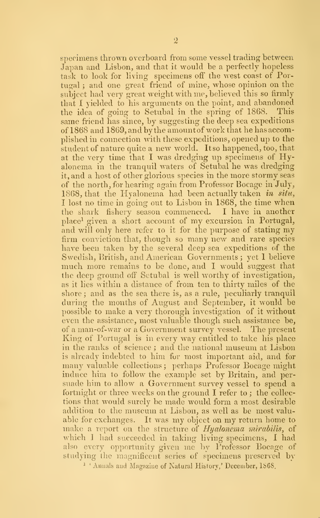specimens thrown overboard from some vessel trading between Japan and Lisbon, and that it would be a perfectly hopeless task to look for living specimens off the west coast of Portugal ; and one great friend of mine, whose opinion on the subject had very great weight with me, believed this so firmly that <sup>I</sup> yielded to his arguments on the point, and abandoned the idea of going to Setubal in the spring of 1868. This same friend has since, by suggesting the deep sea expeditions of 1868 and 1869, and by the amount of work that he has accomplished in connection with these expeditions, opened up to the  $\hat{\text{student}}$  of nature quite a new world. Itso happened, too, that at the very time that <sup>I</sup> was dredging up specimens of Hyalonema in the tranquil waters of Setubal he was dredging it, and a host of other glorious species in the more stormy seas of the north, for hearing again from Professor Bocage in July, 1868, that the Hyalonema had been actually taken in situ, <sup>I</sup> lost no time in going out to Lisbon in 1868, the time when the shark fishery season commenced. I have in another place<sup>1</sup> given a short account of my excursion in Portugal, and will only here refer to it for the purpose of stating my firm conviction that, though so many new and rare species have been taken by the several deep sea expeditions of the Swedish, British, and American Governments; yet 1 believe much more remains to be done, and <sup>I</sup> would suggest that the deep ground ofi" Setubal is well worthy of investigation, as it lies within a distance of from ten to thirty miles of the shore; and as the sea there is, as a rule, peculiarly tranquil during the months of August and September, it would be possible to make a very thorough investigation of it without even the assistance, most valuable though such assistance be, of a man-of-war or a Government survey vessel. The present King of Portugal is in every way entitled to take his place in the ranks of science; and the national museum at Lisbon is already indebted to him fur most important aid, and for many valuable collections ; perhaps Professor Bocage might induce him to follow the example set by Britain, and per suade him to allow a Government survey vessel to spend a fortnight or three weeks on the ground  $I$  refer to; the collections that would surely be made would form a most desirable addition to the museum at Lisbon, as well as be most valuable for exchanges. It was my object on my return home to make a report on the structure of Hyalonema mirabilis, of which I had succeeded in taking living specimens, I had also every opportunity given me by Professor Bocage of studying the magnificent scries of specimens preserved by <sup>1</sup> ' Annals and Magazine of Natural History,' December, 1868.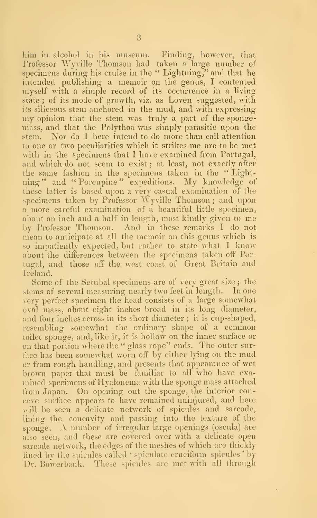him in alcohol in his museum. Finding, however, that Professor Wyville Thomson had taken a large number of specimens during his cruise in the " Lightning," and that he intended publishing a memoir on the genus, I contented myself with a simple record of its occurrence in a living state; of its mode of growth, viz. as Loven suggested, with its siliceous stem anchored in the mud, and with expressing my opinion that the stem was truly <sup>a</sup> part of the sponge mass, and that the Polythoa was simply parasitic upon the stem. Nor do I here intend to do more than call attention to one or two peculiarities which it strikes me are to be met with in the specimens that I have examined from Portugal, and which do not seem to exist; at least, not exactly after the same fashion in the specimens taken in the '' Lightning " and " Porcupine " expeditions. My knowledge of these latter is based upon a very casual examination of the specimens taken by Professor Wyville Thomson; and upon a more careful examination of a beautiful little specimen, about an inch and <sup>a</sup> half in length, most kindly given to me by Professor Thomson. And in these remarks <sup>I</sup> do not mean to anticipate at all the memoir on this genus which is so impatiently expected, but rather to state what <sup>I</sup> know about the differences between the specimens taken off Portugal, and those off the west coast of Great Britain and Ireland.

Some of the Setubal specimens are of very great size ; the stems of several measuring nearly two feet in length. In one very perfect specimen the head consists of a large somewhat oval mass, about eight inches broad in its long diameter, and four inches across in its short diameter ; it is cup-shaped, resembling somewhat the ordinary shape of a common toilet sponge, and, like it, it is hollow on the inner surface or on that portion where the " glass rope" ends. The outer surface has been somewhat worn off by either lying on the mud or from rough handling, and presents that appearance of wet brown paper that must be familiar to all who have exa mined specimens of Hyalonema with the sponge mass attached from Japan. On opening out the sponge, the interior con cave surface appears to have remained uninjured, and here will be seen a delicate network of spicules and sarcode, lining the concavity and passing into the texture of the sponge. A number of irregular large openings (oscula) are also seen, and these are covered over with a delicate open sarcode network, the edges of the meshes of which are thickly lined by the spicules called ' spiculate cruciform spicules' by Dr. Bowerbank. These spicules are met with all through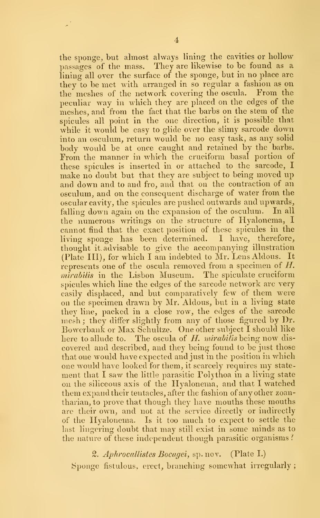the sponge, but almost always lining the cavities or hollow passages of the mass. They are likewise to be found as a lining all over the surface of the sponge, but in no place are they to be met with arranged in so regular a fashion as on the meshes of the network covering the oscula. From the the meshes of the network covering the oscula. peculiar way in which they are placed on the edges of the meshes, and from the fact that the barbs on the stem of the spicules all point in the one direction, it is possible that while it would be easy to glide over the slimy sarcode down into an osculum, return would be no easy task, as any solid body would be at once caught and retained by the barbs. From the manner in which the cruciform basal portion of these spicules is inserted in or attached to the sarcode, I make no doubt but that they are subject to being moved up and down and to and fro, and that on the contraction of an osculum, and on the consequent discharge of water from the oscular cavity, the spicules are pushed outwards and upwards, falling down again on the expansion of the osculum. In all the numerous writings on the structure of Hyalonema, I cannot find that the exact position of these spicules in the living sponge has been determined. I have, therefore, thought it advisable to give the accompanying illustration (Plate III), for which <sup>I</sup> am indebted to Mr. Lens Aldous. It represents one of the oscula removed from a specimen of  $H$ . *mirabilis* in the Lisbon Museum. The spiculate cruciform spicules which line the edges of the sarcode network are very easily displaced, and but comparatively few of them were on the specimen drawn by Mr. Aldous, but in a living state they line, packed in a close row, the edges of the sarcode mesh; they differ slightly from any of those figured by Dr. Bowerbank or Max Schultze. One other subject <sup>I</sup> should like here to allude to. The oscula of H. mirabilis being now discovered and described, and they being found to be just those that one would have expected and just in the position in which one would have looked for them, it scarcely requires my state ment that I saw the little parasitic Polythoa in a living state on the siliceous axis of the Hyalonema, and that I watched them expand their tentacles, after the fashion of any other zoantharian, to prove that though they have mouths these mouths arc their own, and not at the service directly or indirectly of the Hyalonema. Is it too much to expect to settle the last lingering doubt that may still exist in some minds as to the nature of these independent though parasitic organisms?

#### 2. Aphrocallistes Bocagei, sp.nov. (Plate I.)

Sponge fistulous, erect, branching somewhat irregularly ;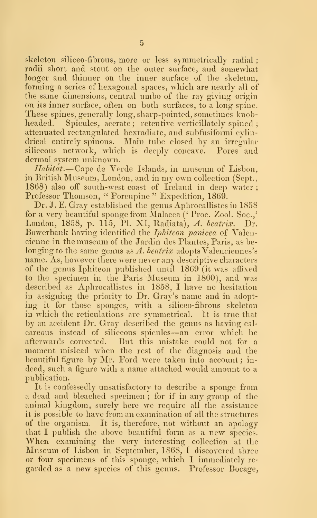skeleton siliceo-fibrous, more or less symmetrically radial; radii short and stout on the outer surface, and somewhat longer and thinner on the inner surface of the skeleton, forming a series of hexagonal spaces, which are nearly all of the same dimensions, central umbo of the ray giving origin on its inner siu'face, often on both surfaces, to a long spine. These spines, generally long, sharp-pointed, sometimes knobheaded. Spicules, acerate; retentive verticillately spined; attenuated rectangulated hexradiate, and subfusiformi cylindrical entirely spinous. Main tube closed by an irregular siliceous network, which is deeply concave. Pores and dermal system unknown.

Habitat.—Cape de Verde Islands, in museum of Lisbon, in British Museum, London, and in my own collection (Sept., 1868) also off south-west coast of Ireland in deep water; Professor Thomson, " Porcupine" Expedition, 1869.

Dr. J. E. Gray established the genus Aphrocallistes in 1858 for a very beautiful sponge from Malacca (' Proc. Zool. Soc.,' London, 1858, p. 115, PI. XI, Radiata), A. beatrix. Dr. Bowerbank having identified the *Iphiteon panicea* of Valencienne in the museum of the Jardin des Plantes, Paris, as belonging to the same genus as A. beatrix adopts Valenciennes's name. As, however there were never any descriptive characters of the genus Iphiteon published until 1869 (it was affixed to the specimen in the Paris Museum in 1800), and was described as Aphrocallistes in 1858, I have no hesitation in assigning the priority to Dr. Gray's name and in adopting it for those sponges, with a siliceo-fibrous skeleton in which the reticulations are symmetrical. It is true that by an accident Dr. Gray described the genus as having cal careous instead of siliceous spicules—an error which he<br>afterwards corrected. But this mistake could not for a But this mistake could not for a moment mislead when the rest of the diagnosis and the beautiful figure by Mr. Ford were taken into account; indeed, such a figure with a name attached would amount to a publication.

It is confessedly unsatisfactory to describe a sponge from a dead and bleached specimen ; for if in any group of the animal kingdom, surely here we require all the assistance it is possible to have from an examination of all the structures of the organism. It is, therefore, not without an apology that I publish the above beautiful form as a new species. When examining the very interesting collection at the Museum of Lisbon in September, 1868, <sup>I</sup> discovered three or four specimens of this sponge, which I immediately re garded as a new species of this genus. Professor Bocage,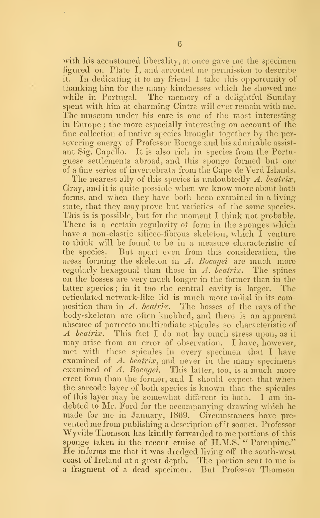with his accustomed liberality, at once gave me the specimen figured on Plate I, and accorded me permission to describe it. In dedicating it to my friend <sup>I</sup> take this opportunity of thanking him for the many kindnesses which he showed me while in Portugal. The memory of a delightful Sunday spent with him at charming Cintra will ever remain with me. The museum under his care is one of the most interesting in Europe ; the more especially interesting on account of the fine collection of native species brought together by the per severing energy of Professor Bocage and his admirable assist ant Sig. Capello. It is also rich in species from the Portu guese settlements abroad, and this sponge formed but one of a fine series of invertebrata from the Cape de Verd Islands.

The nearest ally of this species is undoubtedly A. beatrix, Gray, and it is quite possible when we know more about both forms, and when they have both been examined in a living state, that they may prove but varieties of the same species. This is is possible, but for the moment I think not probable. There is a certain regularity of form in the sponges which have a non-elastic siliceo-fibrous skeleton, which I venture to think will be found to be in a measure characteristic of the species. But apart even from this consideration, the areas forming the skeleton in  $\Lambda$ . Bocagei are much more regularly hexagonal than those in  $\Lambda$ . beatrix. The spines on the bosses are very much longer in the former than in the latter species; in it too the central cavity is larger. The reticulated network-like lid is much more radial in its composition than in A. beatrix. The bosses of the rays of the body-skeleton are often knobbed, and there is an apparent absence of porrecto multiradiate spicules so characteristic of A beatrix. This fact I do not lay much stress upon, as it may arise from an error of observation. I have, however, met with these spicules in every specimen that <sup>I</sup> have examined of  $\Lambda$ . beatrix, and never in the many specimens examined of A. Bocagei. This latter, too, is a much more erect form than the former, and <sup>I</sup> should expect that when the sarcode layer of both species is known that the spicules of this layer may be somewhat different in both. <sup>I</sup> am in debted to Mr. Ford for the accompanying drawing which he made for me in January, 1869. Circumstances have pre vented me from publishing <sup>a</sup> description of it sooner. Professor Wyville Thomson has kindly forwarded to me portions of this sponge taken in the recent cruise of H.M.S. " Porcupine." He informs me that it was dredged living off" the south-west coast of Ireland at <sup>a</sup> great depth. The portion sent to me is a fragment of a dead specimen. But Professor Thomson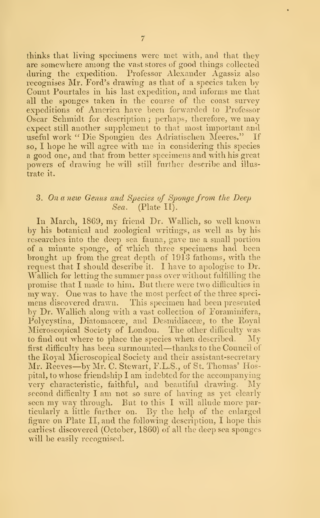thinks that living specimens were met with, and that they are somewhere among the vast stores of good things collected during the expedition. Professor Alexander Agassiz also recognises Mr. Ford's drawing as that of a species taken by Count Pourtales in his last expedition, and informs me that all the sponges taken in the course of the coast survey expeditions of America have been forwarded to Professor Oscar Schmidt for description ; perhaps, therefore, we may expect still another supplement to that most important and useful work " Die Spongien des Adriatischen Meeres." If so, <sup>I</sup> hope he will agree with me in considering this species a good one, and that from better specimens and with his great powers of drawing he will still further describe and illus trate it.

# 3. On a new Genus and Species of Sponge from the Deep Sea. (Plate II). (Plate II).

In March, 1869, my friend Dr. Wallich, so well known by his botanical and zoological writings, as well as by his researches into the deej) sea fauna, gave me <sup>a</sup> small portion of a minute sponge, of which three specimens had been brought up from the great depth of 1913 fathoms, with the request that I should describe it. I have to apologise to Dr. Wallich for letting the summer pass over without fulfilling the promise that I made to him. But there were two difficulties in my way. One was to have the most perfect of the three specimens discovered drawn. This specimen had been presented by Dr. Wallich along with a vast collection of Foraminifera, Polycystina, Diatomaceæ, and Desmidiaceæ, to the Royal Microscopical Society of London. The other difficulty was to find out where to place the species when described. My first difficulty has been surmounted—thanks to the Council of the Royal Microscopical Society and their assistant-secretary Mr. Reeves—by Mr. C. Stewart, F.L.S., of St. Thomas' Hospital, to whose friendship <sup>I</sup> am indebted for the accompanying very characteristic, faithful, and beautiful drawing. My second difficulty <sup>I</sup> am not so sure of having as yet clearly seen my way through. But to this <sup>I</sup> will allude more particularly a little further on. By the help of the enlarged figure on Plate II, and the following description, I hope this earliest discovered (October, 1860) of all the deep sea sponges will be easily recognised.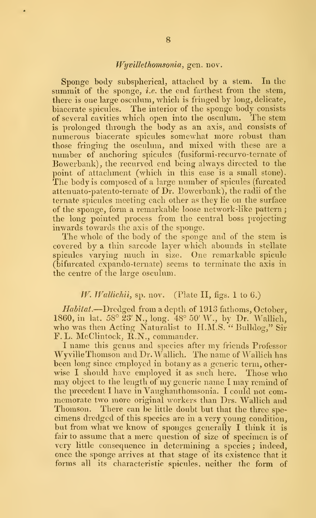### Wyvillethomsonia, gen. nov.

Sponge body subspherical, attached by a stem. In the summit of the sponge, *i.e.* the end farthest from the stem, there is one large osculum, which is fringed by long, delicate, biacerate spicules. The interior of the sponge body consists of several cavities which open into the osculum. The stem is prolonged through the body as an axis, and consists of numerous biacerate spicules somewhat more robust than those fringing the osculum, and mixed with these are a number of anchoring spicules (fusiformi-recurvo-ternate of Bowerbank), the recurved end being always directed to the point of attachment (which in this case is a small stone). The body is composed of a large number of spicules (furcated attenuato-patento-ternate of Dr. Bowerbank), the radii of the ternate spicules meeting each other as they lie on the surface of the sponge, form a remarkable loose network-like pattern the long pointed process from the central boss projecting inwards towards the axis of the sponge.

The whole of the body of the sponge and of the stem is covered by a thin sarcode layer which abounds in stellate spicules varying much in size. One remarkable spicule (bifurcated expando-ternate) seems to terminate the axis in the centre of the large osculum.

### W. Wallichii, sp. nov. (Plate II, figs. 1 to 6.)

Habitat.—Dredged from a depth of  $1913$  fathoms, October, 1860, in lat. 58° 23′ N., long. 48° 50′ W., by Dr. Wallich, who was then Acting Naturalist to H.M.S. " Bulldog," Sir r. L. McClintock, R.N., commander.

<sup>I</sup> name this genus and species after my friends Professor Wyville Thomson and Dr. WaUich. The name of Wallich has been long since employed in botany as a generic term, otherwise I should have employed it as such here. Those who may object to the length of my generic name <sup>I</sup> may remind of the precedent I have in Vaughanthomsonia. I could not com memorate two more original workers than Drs. Wallich and Thomson. There can be little doubt but that the three spe cimens dredged of this species are in a very young condition, but from what we know of sponges generally <sup>I</sup> think it is fair to assume that a mere question of size of specimen is of very little consequence in determining a species ; indeed, once the sponge arrives at that stage of its existence that it forms all its characteristic spicules, neither the form of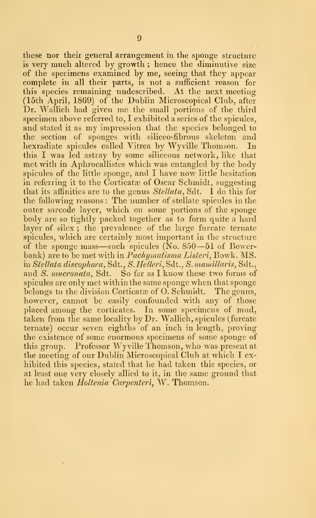these nor their general arrangement in the sponge structure is very much altered by growth ; hence the diminutive size of the specimens examined by me, seeing that they appear complete in all their parts, is not a sufficient reason for this species remaining undescribed. At the next meeting (15th April, 1869) of the Dublin Microscopical Club, after Dr. Wallich had given me the small portions of the third specimen above referred to, I exhibited a series of the spicules, and stated it as my impression that the species belonged to the section of sponges with silicco-fibrous skeleton and hexradiate spicules called Vitrea by Wyville Thomson, In this I was led astray by some siliceous network, like that met with in Aphrocallistes which was entangled by the body spicules of the little sponge, and <sup>I</sup> have now little hesitation in referring it to the Corticate of Oscar Schmidt, suggesting that its affinities are to the genus  $Stellata$ , Sdt. I do this for the following reasons : The number of stellate spicules in the outer sarcode layer, which on some portions of the sponge body are so tightly packed together as to form quite a hard layer of silex; the prevalence of the large furcate ternate spicules, which are certainly most important in the structure of the sponge mass—such spicules ( $\overline{N}$ o. 850—51 of Bowerbank) are to be met with in *Pachymatisma Listeri*, Bowk. MS. in Stellata discophora, Sdt., S. Helleri, Sdt., S. mamillaris, Sdt., and S. mucronata, Sdt. So far as I know these two forms of spicules are only met within the same sponge when that sponge belongs to the division Corticate of O. Schmidt. The genus, however, cannot be easily confounded with any of those placed among the corticates. In some specimens of mud, taken from the same locality by Dr. Wallich, spicules (furcate ternate) occur seven eighths of an inch in length, proving the existence of some enormous specimens of some sponge of this group. Professor Wyville Thomson, who was present at the meeting of our Dublin Microscopical Club at which I ex hibited this species, stated that he had taken this species, or at least one very closely allied to it, in the same ground that he had taken *Holtenia Carpenteri*, W. Thomson.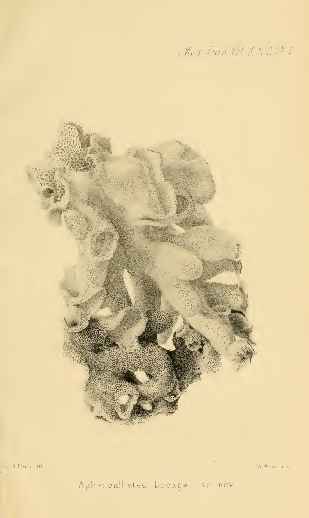Mar-Journ 1d X V S .- 7



 $\mathcal{C}$  H F  $\alpha$ d infa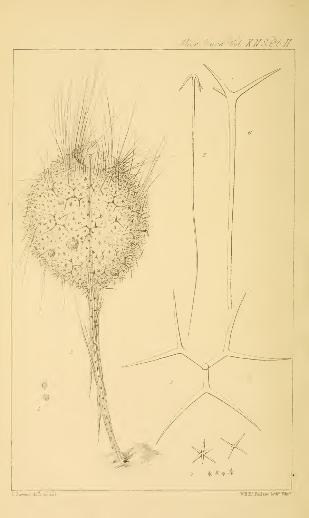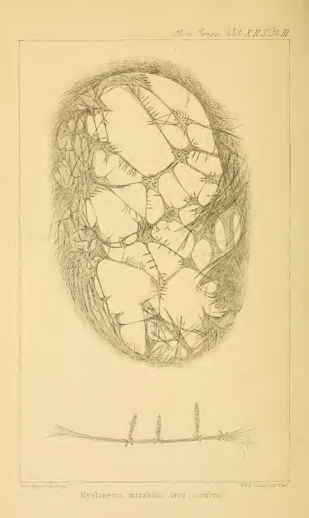

Hyalonema mirabilis Gray (osculum.